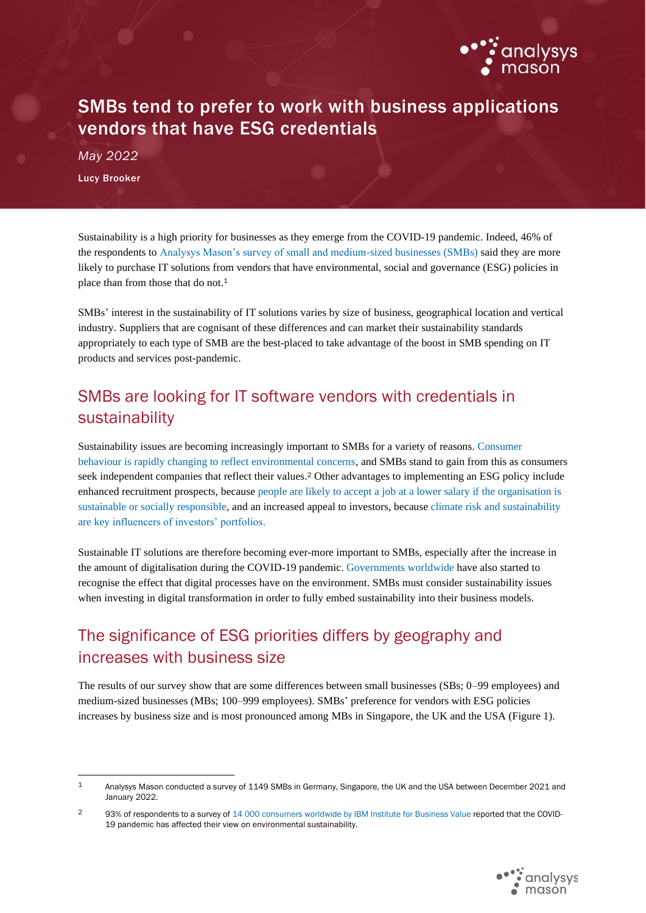

# SMBs tend to prefer to work with business applications vendors that have ESG credentials

*May 2022* Lucy Brooker

Sustainability is a high priority for businesses as they emerge from the COVID-19 pandemic. Indeed, 46% of the respondents to [Analysys Mason's survey of small and medium-sized businesses \(SMBs\)](https://www.analysysmason.com/research/content/reports/smb-business-survey/) said they are more likely to purchase IT solutions from vendors that have environmental, social and governance (ESG) policies in place than from those that do not.<sup>1</sup>

SMBs' interest in the sustainability of IT solutions varies by size of business, geographical location and vertical industry. Suppliers that are cognisant of these differences and can market their sustainability standards appropriately to each type of SMB are the best-placed to take advantage of the boost in SMB spending on IT products and services post-pandemic.

## SMBs are looking for IT software vendors with credentials in sustainability

Sustainability issues are becoming increasingly important to SMBs for a variety of reasons. [Consumer](https://www.analysysmason.com/research/content/articles/operator-green-credentials-rdmm0-rdmd0-rdmb0-rdcs0-rdmv0-rdmy0/)  [behaviour is rapidly changing to reflect environmental concerns,](https://www.analysysmason.com/research/content/articles/operator-green-credentials-rdmm0-rdmd0-rdmb0-rdcs0-rdmv0-rdmy0/) and SMBs stand to gain from this as consumers seek independent companies that reflect their values. <sup>2</sup> Other advantages to implementing an ESG policy include enhanced recruitment prospects, because [people are likely to accept a job at a lower salary if the organisation is](https://www.ibm.com/thought-leadership/institute-business-value/report/2022-sustainability-consumer-research)  [sustainable or socially responsible,](https://www.ibm.com/thought-leadership/institute-business-value/report/2022-sustainability-consumer-research) and an increased appeal to investors, because [climate risk and sustainability](https://www.analysysmason.com/research/content/articles/esg-telecoms-operators-rma08/)  are [key influencers of investors' portfolios.](https://www.analysysmason.com/research/content/articles/esg-telecoms-operators-rma08/)

Sustainable IT solutions are therefore becoming ever-more important to SMBs, especially after the increase in the amount of digitalisation during the COVID-19 pandemic[. Governments worldwide](https://www.g20-insights.org/policy_briefs/clean-it-policies-to-support-sustainable-digital-technologies/) have also started to recognise the effect that digital processes have on the environment. SMBs must consider sustainability issues when investing in digital transformation in order to fully embed sustainability into their business models.

## The significance of ESG priorities differs by geography and increases with business size

The results of our survey show that are some differences between small businesses (SBs; 0–99 employees) and medium-sized businesses (MBs; 100–999 employees). SMBs' preference for vendors with ESG policies increases by business size and is most pronounced among MBs in Singapore, the UK and the USA (Figure 1).

<sup>2 93%</sup> of respondents to a survey of 14 000 consumers [worldwide by IBM Institute](https://www.ibm.com/thought-leadership/institute-business-value/report/sustainability-consumer-research) for Business Value reported that the COVID-19 pandemic has affected their view on environmental sustainability.



<sup>1</sup> Analysys Mason conducted a survey of 1149 SMBs in Germany, Singapore, the UK and the USA between December 2021 and January 2022.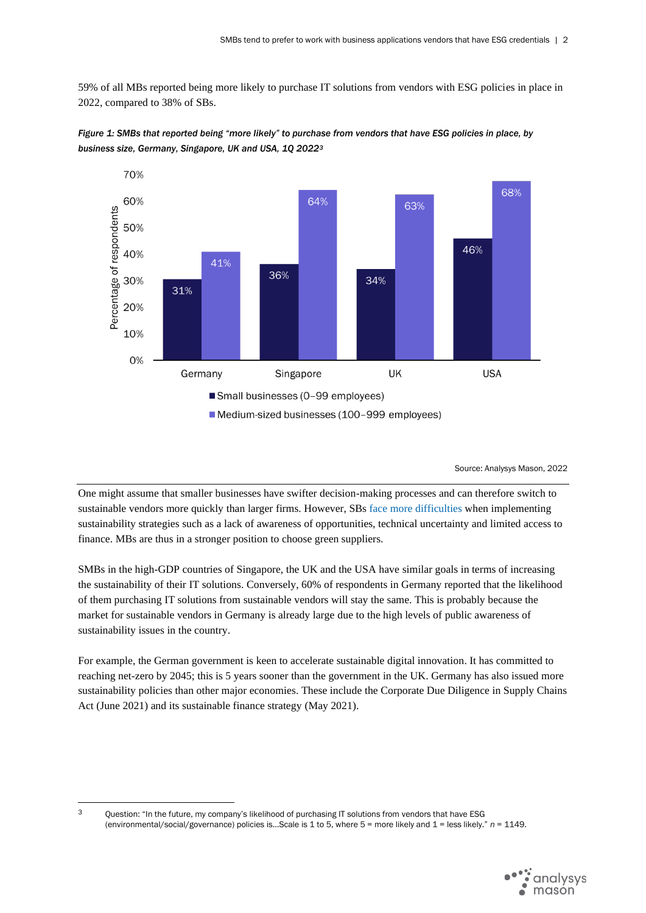59% of all MBs reported being more likely to purchase IT solutions from vendors with ESG policies in place in 2022, compared to 38% of SBs.

<span id="page-1-0"></span>

*Figure 1: SMBs that reported being "more likely" to purchase from vendors that have ESG policies in place, by business size, Germany, Singapore, UK and USA, 1Q 2022<sup>3</sup>*

Source: Analysys Mason, 2022

One might assume that smaller businesses have swifter decision-making processes and can therefore switch to sustainable vendors more quickly than larger firms. However, SBs face more [difficulties](https://www.oecd-ilibrary.org/energy/no-net-zero-without-smes_bab63915-en) when implementing sustainability strategies such as a lack of awareness of opportunities, technical uncertainty and limited access to finance. MBs are thus in a stronger position to choose green suppliers.

SMBs in the high-GDP countries of Singapore, the UK and the USA have similar goals in terms of increasing the sustainability of their IT solutions. Conversely, 60% of respondents in Germany reported that the likelihood of them purchasing IT solutions from sustainable vendors will stay the same. This is probably because the market for sustainable vendors in Germany is already large due to the high levels of public awareness of sustainability issues in the country.

For example, the German government is keen to accelerate sustainable digital innovation. It has committed to reaching net-zero by 2045; this is 5 years sooner than the government in the UK. Germany has also issued more sustainability policies than other major economies. These include the Corporate Due Diligence in Supply Chains Act (June 2021) and its sustainable finance strategy (May 2021).

<sup>3</sup> Ouestion: "In the future, my company's likelihood of purchasing IT solutions from vendors that have ESG (environmental/social/governance) policies is…Scale is 1 to 5, where 5 = more likely and 1 = less likely." *n* = 1149.

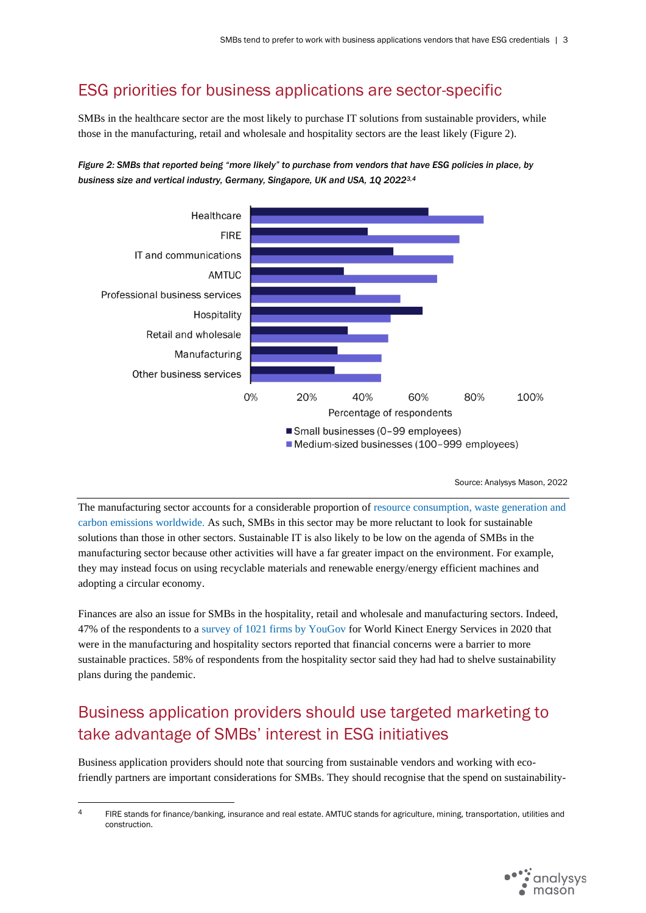### ESG priorities for business applications are sector-specific

SMBs in the healthcare sector are the most likely to purchase IT solutions from sustainable providers, while those in the manufacturing, retail and wholesale and hospitality sectors are the least likely (Figure 2).





Source: Analysys Mason, 2022

The manufacturing sector accounts for a considerable proportion of [resource consumption, waste generation and](https://www.weforum.org/agenda/2021/06/manufacturing-industry-climate-change-goals/)  [carbon emissions worldwide.](https://www.weforum.org/agenda/2021/06/manufacturing-industry-climate-change-goals/) As such, SMBs in this sector may be more reluctant to look for sustainable solutions than those in other sectors. Sustainable IT is also likely to be low on the agenda of SMBs in the manufacturing sector because other activities will have a far greater impact on the environment. For example, they may instead focus on using recyclable materials and renewable energy/energy efficient machines and adopting a circular economy.

Finances are also an issue for SMBs in the hospitality, retail and wholesale and manufacturing sectors. Indeed, 47% of the respondents to a [survey of 1021 firms by YouGov](https://www.iom3.org/resource/uk-sme-manufacturers-lead-way-in-setting-sustainability-goals-survey-says.html) for World Kinect Energy Services in 2020 that were in the manufacturing and hospitality sectors reported that financial concerns were a barrier to more sustainable practices. 58% of respondents from the hospitality sector said they had had to shelve sustainability plans during the pandemic.

# Business application providers should use targeted marketing to take advantage of SMBs' interest in ESG initiatives

Business application providers should note that sourcing from sustainable vendors and working with ecofriendly partners are important considerations for SMBs. They should recognise that the spend on sustainability-

<sup>&</sup>lt;sup>4</sup> FIRE stands for finance/banking, insurance and real estate. AMTUC stands for agriculture, mining, transportation, utilities and construction.